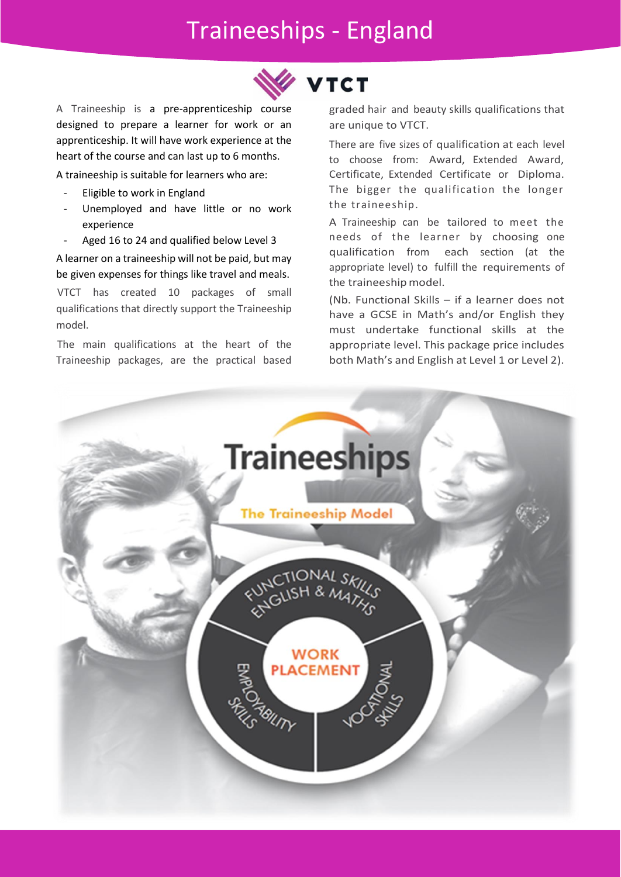## Traineeships - England



A Traineeship is a pre-apprenticeship course designed to prepare a learner for work or an apprenticeship. It will have work experience at the heart of the course and can last up to 6 months.

A traineeship is suitable for learners who are:

- Eligible to work in England
- Unemployed and have little or no work experience
- Aged 16 to 24 and qualified below Level 3

A learner on a traineeship will not be paid, but may be given expenses for things like travel and meals.

VTCT has created 10 packages of small qualifications that directly support the Traineeship model.

The main qualifications at the heart of the Traineeship packages, are the practical based graded hair and beauty skills qualifications that are unique to VTCT.

There are five sizes of qualification at each level to choose from: Award, Extended Award, Certificate, Extended Certificate or Diploma. The bigger the qualification the longer the traineeship.

A Traineeship can be tailored to meet the needs of the learner by choosing one qualification from each section (at the appropriate level) to fulfill the requirements of the traineeship model.

(Nb. Functional Skills – if a learner does not have a GCSE in Math's and/or English they must undertake functional skills at the appropriate level. This package price includes both Math's and English at Level 1 or Level 2).